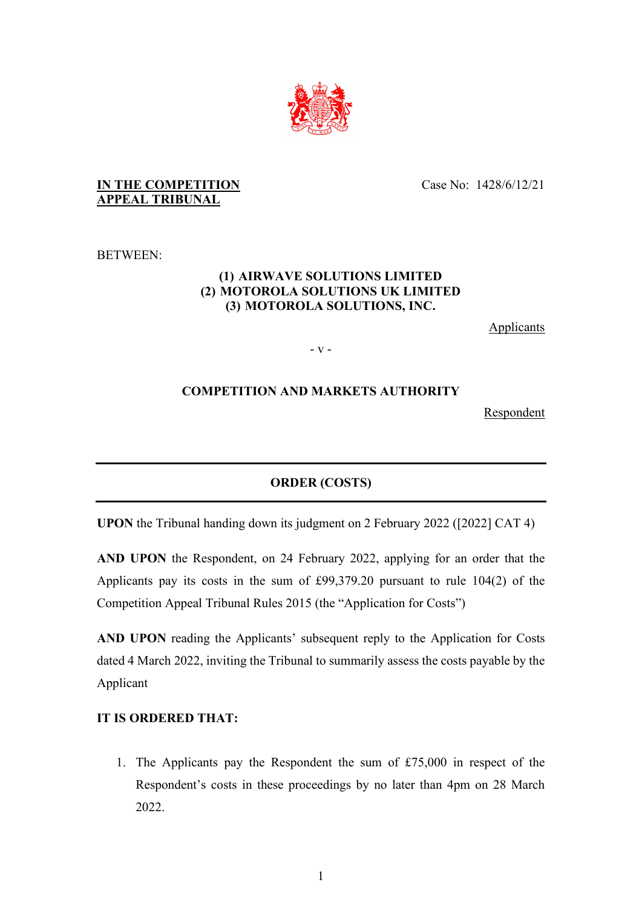

### **IN THE COMPETITION APPEAL TRIBUNAL**

Case No: 1428/6/12/21

BETWEEN:

## **(1) AIRWAVE SOLUTIONS LIMITED (2) MOTOROLA SOLUTIONS UK LIMITED (3) MOTOROLA SOLUTIONS, INC.**

Applicants

- v -

# **COMPETITION AND MARKETS AUTHORITY**

Respondent

# **ORDER (COSTS)**

**UPON** the Tribunal handing down its judgment on 2 February 2022 ([2022] CAT 4)

**AND UPON** the Respondent, on 24 February 2022, applying for an order that the Applicants pay its costs in the sum of £99,379.20 pursuant to rule 104(2) of the Competition Appeal Tribunal Rules 2015 (the "Application for Costs")

**AND UPON** reading the Applicants' subsequent reply to the Application for Costs dated 4 March 2022, inviting the Tribunal to summarily assess the costs payable by the Applicant

## **IT IS ORDERED THAT:**

1. The Applicants pay the Respondent the sum of £75,000 in respect of the Respondent's costs in these proceedings by no later than 4pm on 28 March 2022.